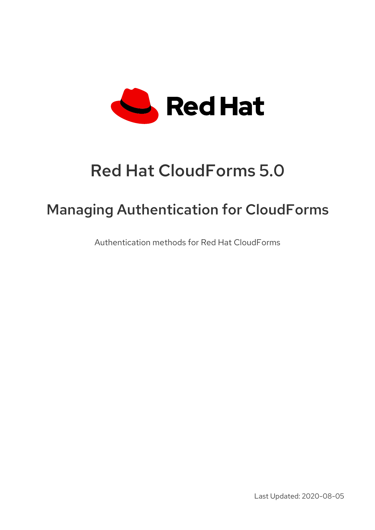

# Red Hat CloudForms 5.0

# Managing Authentication for CloudForms

Authentication methods for Red Hat CloudForms

Last Updated: 2020-08-05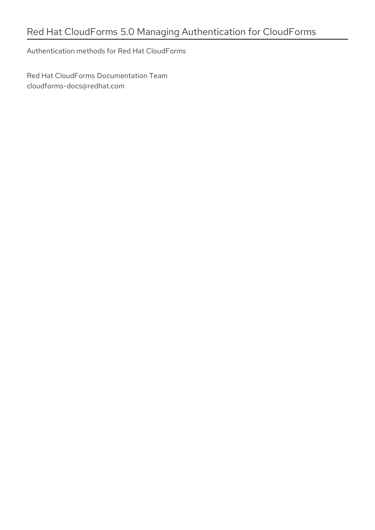Authentication methods for Red Hat CloudForms

Red Hat CloudForms Documentation Team cloudforms-docs@redhat.com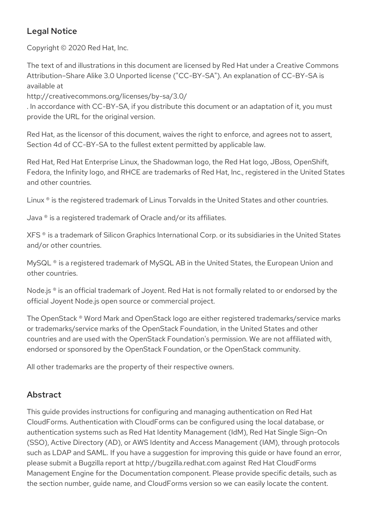### Legal Notice

Copyright © 2020 Red Hat, Inc.

The text of and illustrations in this document are licensed by Red Hat under a Creative Commons Attribution–Share Alike 3.0 Unported license ("CC-BY-SA"). An explanation of CC-BY-SA is available at

http://creativecommons.org/licenses/by-sa/3.0/

. In accordance with CC-BY-SA, if you distribute this document or an adaptation of it, you must provide the URL for the original version.

Red Hat, as the licensor of this document, waives the right to enforce, and agrees not to assert, Section 4d of CC-BY-SA to the fullest extent permitted by applicable law.

Red Hat, Red Hat Enterprise Linux, the Shadowman logo, the Red Hat logo, JBoss, OpenShift, Fedora, the Infinity logo, and RHCE are trademarks of Red Hat, Inc., registered in the United States and other countries.

Linux ® is the registered trademark of Linus Torvalds in the United States and other countries.

Java ® is a registered trademark of Oracle and/or its affiliates.

XFS ® is a trademark of Silicon Graphics International Corp. or its subsidiaries in the United States and/or other countries.

MySQL<sup>®</sup> is a registered trademark of MySQL AB in the United States, the European Union and other countries.

Node.js ® is an official trademark of Joyent. Red Hat is not formally related to or endorsed by the official Joyent Node.js open source or commercial project.

The OpenStack ® Word Mark and OpenStack logo are either registered trademarks/service marks or trademarks/service marks of the OpenStack Foundation, in the United States and other countries and are used with the OpenStack Foundation's permission. We are not affiliated with, endorsed or sponsored by the OpenStack Foundation, or the OpenStack community.

All other trademarks are the property of their respective owners.

### Abstract

This guide provides instructions for configuring and managing authentication on Red Hat CloudForms. Authentication with CloudForms can be configured using the local database, or authentication systems such as Red Hat Identity Management (IdM), Red Hat Single Sign-On (SSO), Active Directory (AD), or AWS Identity and Access Management (IAM), through protocols such as LDAP and SAML. If you have a suggestion for improving this guide or have found an error, please submit a Bugzilla report at http://bugzilla.redhat.com against Red Hat CloudForms Management Engine for the Documentation component. Please provide specific details, such as the section number, guide name, and CloudForms version so we can easily locate the content.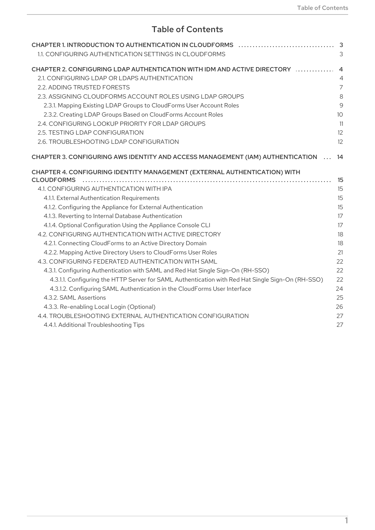### Table of Contents

| 1.1. CONFIGURING AUTHENTICATION SETTINGS IN CLOUDFORMS                                            |    |
|---------------------------------------------------------------------------------------------------|----|
| CHAPTER 2. CONFIGURING LDAP AUTHENTICATION WITH IDM AND ACTIVE DIRECTORY  4                       |    |
| 2.1. CONFIGURING LDAP OR LDAPS AUTHENTICATION                                                     |    |
| 2.2. ADDING TRUSTED FORESTS                                                                       |    |
| 2.3. ASSIGNING CLOUDFORMS ACCOUNT ROLES USING LDAP GROUPS                                         |    |
| 2.3.1. Mapping Existing LDAP Groups to CloudForms User Account Roles                              |    |
| 2.3.2. Creating LDAP Groups Based on CloudForms Account Roles                                     |    |
| 2.4. CONFIGURING LOOKUP PRIORITY FOR LDAP GROUPS                                                  |    |
| 2.5. TESTING LDAP CONFIGURATION                                                                   |    |
| 2.6. TROUBLESHOOTING LDAP CONFIGURATION                                                           |    |
|                                                                                                   |    |
| CHAPTER 4. CONFIGURING IDENTITY MANAGEMENT (EXTERNAL AUTHENTICATION) WITH                         |    |
| 4.1. CONFIGURING AUTHENTICATION WITH IPA                                                          |    |
| 4.1.1. External Authentication Requirements                                                       |    |
| 4.1.2. Configuring the Appliance for External Authentication                                      |    |
| 4.1.3. Reverting to Internal Database Authentication                                              |    |
| 4.1.4. Optional Configuration Using the Appliance Console CLI                                     |    |
| 4.2. CONFIGURING AUTHENTICATION WITH ACTIVE DIRECTORY                                             |    |
| 4.2.1. Connecting CloudForms to an Active Directory Domain                                        |    |
| 4.2.2. Mapping Active Directory Users to CloudForms User Roles                                    |    |
| 4.3. CONFIGURING FEDERATED AUTHENTICATION WITH SAML                                               | 22 |
| 4.3.1. Configuring Authentication with SAML and Red Hat Single Sign-On (RH-SSO)                   | 22 |
| 4.3.1.1. Configuring the HTTP Server for SAML Authentication with Red Hat Single Sign-On (RH-SSO) | 22 |
| 4.3.1.2. Configuring SAML Authentication in the CloudForms User Interface                         | 24 |
| 4.3.2. SAML Assertions                                                                            | 25 |
| 4.3.3. Re-enabling Local Login (Optional)                                                         | 26 |
| 4.4. TROUBLESHOOTING EXTERNAL AUTHENTICATION CONFIGURATION                                        | 27 |
| 4.4.1. Additional Troubleshooting Tips                                                            | 27 |
|                                                                                                   |    |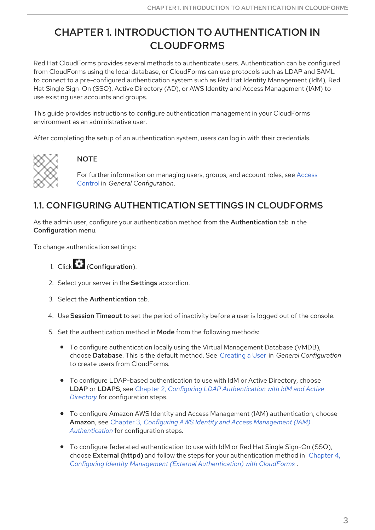### <span id="page-6-0"></span>CHAPTER 1. INTRODUCTION TO AUTHENTICATION IN CLOUDFORMS

Red Hat CloudForms provides several methods to authenticate users. Authentication can be configured from CloudForms using the local database, or CloudForms can use protocols such as LDAP and SAML to connect to a pre-configured authentication system such as Red Hat Identity Management (IdM), Red Hat Single Sign-On (SSO), Active Directory (AD), or AWS Identity and Access Management (IAM) to use existing user accounts and groups.

This guide provides instructions to configure authentication management in your CloudForms environment as an administrative user.

After completing the setup of an authentication system, users can log in with their credentials.



#### **NOTE**

For further information on managing users, groups, and account roles, see Access Control in *General [Configuration](https://access.redhat.com/documentation/en-us/red_hat_cloudforms/4.7/html-single/general_configuration/#access-control)*.

### <span id="page-6-1"></span>1.1. CONFIGURING AUTHENTICATION SETTINGS IN CLOUDFORMS

As the admin user, configure your authentication method from the Authentication tab in the Configuration menu.

To change authentication settings:

- 1. Click  $\bullet$  (Configuration).
- 2. Select your server in the Settings accordion.
- 3. Select the Authentication tab.
- 4. Use Session Timeout to set the period of inactivity before a user is logged out of the console.
- 5. Set the authentication method in Mode from the following methods:
	- To configure authentication locally using the Virtual Management Database (VMDB), choose Database. This is the default method. See [Creating](https://access.redhat.com/documentation/en-us/red_hat_cloudforms/4.5/html-single/general_configuration/#creating_a_user) a User in *General Configuration* to create users from CloudForms.
	- To configure LDAP-based authentication to use with IdM or Active Directory, choose LDAP or LDAPS, see Chapter 2, *Configuring LDAP [Authentication](#page-11-1) with IdM and Active Directory* for configuration steps.
	- To configure Amazon AWS Identity and Access Management (IAM) authentication, choose Amazon, see Chapter 3, *Configuring AWS Identity and Access Management (IAM) [Authentication](#page-17-1)* for configuration steps.
	- To configure federated authentication to use with IdM or Red Hat Single Sign-On (SSO), choose External (httpd) and follow the steps for your authentication method in Chapter 4, *Configuring Identity Management (External [Authentication\)](#page-24-1) with CloudForms* .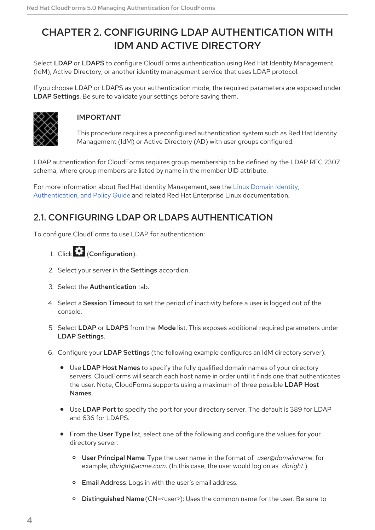### <span id="page-7-0"></span>CHAPTER 2. CONFIGURING LDAP AUTHENTICATION WITH IDM AND ACTIVE DIRECTORY

Select LDAP or LDAPS to configure CloudForms authentication using Red Hat Identity Management (IdM), Active Directory, or another identity management service that uses LDAP protocol.

If you choose LDAP or LDAPS as your authentication mode, the required parameters are exposed under LDAP Settings. Be sure to validate your settings before saving them.



#### IMPORTANT

This procedure requires a preconfigured authentication system such as Red Hat Identity Management (IdM) or Active Directory (AD) with user groups configured.

LDAP authentication for CloudForms requires group membership to be defined by the LDAP RFC 2307 schema, where group members are listed by name in the member UID attribute.

For more information about Red Hat Identity Management, see the Linux Domain Identity, Authentication, and Policy Guide and related Red Hat Enterprise Linux [documentation.](https://access.redhat.com/documentation/en-us/red_hat_enterprise_linux/7/html/linux_domain_identity_authentication_and_policy_guide/index)

### <span id="page-7-1"></span>2.1. CONFIGURING LDAP OR LDAPS AUTHENTICATION

To configure CloudForms to use LDAP for authentication:

- 1. Click (Configuration).
- 2. Select your server in the Settings accordion.
- 3. Select the Authentication tab.
- 4. Select a Session Timeout to set the period of inactivity before a user is logged out of the console.
- 5. Select LDAP or LDAPS from the Mode list. This exposes additional required parameters under LDAP Settings.
- 6. Configure your LDAP Settings (the following example configures an IdM directory server):
	- Use LDAP Host Names to specify the fully qualified domain names of your directory servers. CloudForms will search each host name in order until it finds one that authenticates the user. Note, CloudForms supports using a maximum of three possible LDAP Host Names.
	- Use LDAP Port to specify the port for your directory server. The default is 389 for LDAP and 636 for LDAPS
	- From the User Type list, select one of the following and configure the values for your directory server:
		- User Principal Name: Type the user name in the format of *user@domainname*, for example, *dbright@acme.com*. (In this case, the user would log on as *dbright*.)
		- Email Address: Logs in with the user's email address.
		- Distinguished Name(CN=<user>): Uses the common name for the user. Be sure to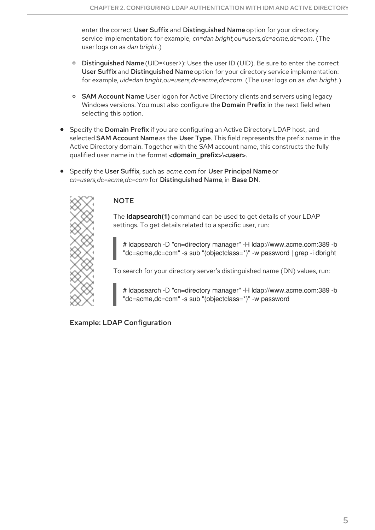enter the correct User Suffix and Distinguished Name option for your directory service implementation: for example, *cn=dan bright,ou=users,dc=acme,dc=com*. (The user logs on as *dan bright*.)

- Distinguished Name(UID=<user>): Uses the user ID (UID). Be sure to enter the correct User Suffix and Distinguished Nameoption for your directory service implementation: for example, *uid=dan bright,ou=users,dc=acme,dc=com*. (The user logs on as *dan bright*.)
- **SAM Account Name:** User logon for Active Directory clients and servers using legacy Windows versions. You must also configure the **Domain Prefix** in the next field when selecting this option.
- Specify the Domain Prefix if you are configuring an Active Directory LDAP host, and selected SAM Account Nameas the User Type. This field represents the prefix name in the Active Directory domain. Together with the SAM account name, this constructs the fully qualified user name in the format <domain\_prefix>\<user>.
- Specify the User Suffix, such as *acme.com* for User Principal Nameor *cn=users,dc=acme,dc=com* for Distinguished Name, in Base DN.



#### **NOTE**

The **ldapsearch(1)** command can be used to get details of your LDAP settings. To get details related to a specific user, run:

# ldapsearch -D "cn=directory manager" -H ldap://www.acme.com:389 -b "dc=acme,dc=com" -s sub "(objectclass=\*)" -w password | grep -i dbright

To search for your directory server's distinguished name (DN) values, run:

# ldapsearch -D "cn=directory manager" -H ldap://www.acme.com:389 -b "dc=acme,dc=com" -s sub "(objectclass=\*)" -w password

Example: LDAP Configuration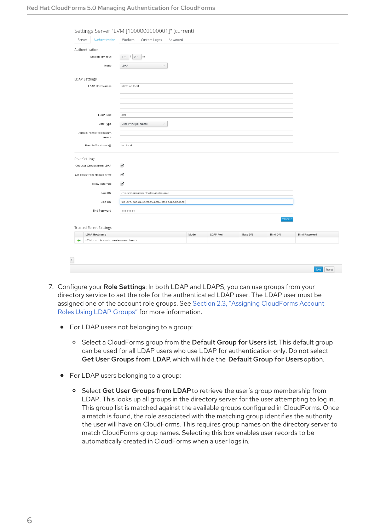| Server                                                              | Authentication                                                             | Workers                     | Custom Logos                            | Advanced     |      |                  |                |                |                      |
|---------------------------------------------------------------------|----------------------------------------------------------------------------|-----------------------------|-----------------------------------------|--------------|------|------------------|----------------|----------------|----------------------|
| Authentication                                                      |                                                                            |                             |                                         |              |      |                  |                |                |                      |
|                                                                     | <b>Session Timeout</b>                                                     | $1 \vee$ $h \cdot 0 \vee m$ |                                         |              |      |                  |                |                |                      |
|                                                                     | Mode                                                                       | LDAP                        |                                         | $\checkmark$ |      |                  |                |                |                      |
| <b>LDAP Settings</b>                                                |                                                                            |                             |                                         |              |      |                  |                |                |                      |
|                                                                     | <b>LDAP Host Names</b>                                                     | idm2.lab.local              |                                         |              |      |                  |                |                |                      |
|                                                                     |                                                                            |                             |                                         |              |      |                  |                |                |                      |
|                                                                     |                                                                            |                             |                                         |              |      |                  |                |                |                      |
|                                                                     |                                                                            |                             |                                         |              |      |                  |                |                |                      |
|                                                                     | <b>LDAP Port</b>                                                           | 389                         |                                         |              |      |                  |                |                |                      |
|                                                                     | User Type                                                                  | User Principal Name         |                                         | $\lor$       |      |                  |                |                |                      |
|                                                                     | Domain Prefix: < domain>\                                                  |                             |                                         |              |      |                  |                |                |                      |
|                                                                     | <user></user>                                                              |                             |                                         |              |      |                  |                |                |                      |
|                                                                     | User Suffix: <user>@</user>                                                | lab.local                   |                                         |              |      |                  |                |                |                      |
| Role Settings                                                       |                                                                            |                             |                                         |              |      |                  |                |                |                      |
|                                                                     | Get User Groups from LDAP                                                  | ✔                           |                                         |              |      |                  |                |                |                      |
|                                                                     | Get Roles from Home Forest                                                 | ✔                           |                                         |              |      |                  |                |                |                      |
|                                                                     | <b>Follow Referrals</b>                                                    | ✔                           |                                         |              |      |                  |                |                |                      |
|                                                                     | Base DN                                                                    |                             | cn=users, cn=accounts, dc=lab, dc=local |              |      |                  |                |                |                      |
| uid=svc-Idap,cn=users,cn=accounts,dc=lab,dc=local<br><b>Bind DN</b> |                                                                            |                             |                                         |              |      |                  |                |                |                      |
| <b>Bind Password</b><br>                                            |                                                                            |                             |                                         |              |      |                  |                |                |                      |
|                                                                     |                                                                            |                             |                                         |              |      |                  |                | Validate       |                      |
|                                                                     | Trusted Forest Settings                                                    |                             |                                         |              |      |                  |                |                |                      |
|                                                                     | LDAP Hostname                                                              |                             |                                         |              | Mode | <b>LDAP Port</b> | <b>Base DN</b> | <b>Bind DN</b> | <b>Bind Password</b> |
| $\ddot{}$                                                           | <click a="" create="" forest="" new="" on="" row="" this="" to=""></click> |                             |                                         |              |      |                  |                |                |                      |
|                                                                     |                                                                            |                             |                                         |              |      |                  |                |                |                      |
|                                                                     |                                                                            |                             |                                         |              |      |                  |                |                |                      |

- 7. Configure your Role Settings: In both LDAP and LDAPS, you can use groups from your directory service to set the role for the authenticated LDAP user. The LDAP user must be assigned one of the account role groups. See Section 2.3, "Assigning [CloudForms](#page-13-1) Account Roles Using LDAP Groups" for more information.
	- For LDAP users not belonging to a group:
		- o Select a CloudForms group from the Default Group for Userslist. This default group can be used for all LDAP users who use LDAP for authentication only. Do not select Get User Groups from LDAP, which will hide the Default Group for Usersoption.
	- For LDAP users belonging to a group:
		- o Select Get User Groups from LDAP to retrieve the user's group membership from LDAP. This looks up all groups in the directory server for the user attempting to log in. This group list is matched against the available groups configured in CloudForms. Once a match is found, the role associated with the matching group identifies the authority the user will have on CloudForms. This requires group names on the directory server to match CloudForms group names. Selecting this box enables user records to be automatically created in CloudForms when a user logs in.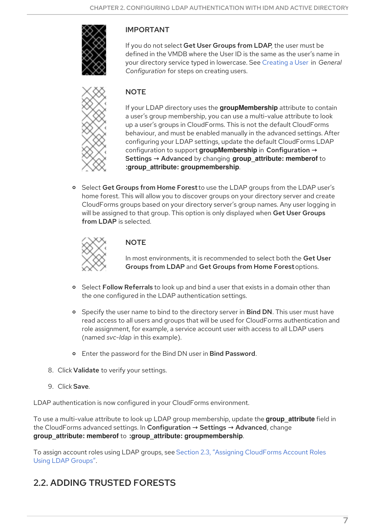

### IMPORTANT

If you do not select Get User Groups from LDAP, the user must be defined in the VMDB where the User ID is the same as the user's name in your directory service typed in lowercase. See [Creating](https://access.redhat.com/documentation/en-us/red_hat_cloudforms/4.7/html-single/general_configuration/#creating_a_user) a User in *General Configuration* for steps on creating users.

### **NOTE**

If your LDAP directory uses the **groupMembership** attribute to contain a user's group membership, you can use a multi-value attribute to look up a user's groups in CloudForms. This is not the default CloudForms behaviour, and must be enabled manually in the advanced settings. After configuring your LDAP settings, update the default CloudForms LDAP configuration to support **groupMembership** in Configuration → Settings → Advanced by changing **group\_attribute: memberof** to **:group\_attribute: groupmembership**.

o Select Get Groups from Home Forest to use the LDAP groups from the LDAP user's home forest. This will allow you to discover groups on your directory server and create CloudForms groups based on your directory server's group names. Any user logging in will be assigned to that group. This option is only displayed when Get User Groups from LDAP is selected.



#### **NOTE**

In most environments, it is recommended to select both the Get User Groups from LDAP and Get Groups from Home Forestoptions.

- o Select Follow Referrals to look up and bind a user that exists in a domain other than the one configured in the LDAP authentication settings.
- o Specify the user name to bind to the directory server in Bind DN. This user must have read access to all users and groups that will be used for CloudForms authentication and role assignment, for example, a service account user with access to all LDAP users (named *svc-ldap* in this example).
- Enter the password for the Bind DN user in Bind Password.
- 8. Click Validate to verify your settings.
- 9. Click Save.

LDAP authentication is now configured in your CloudForms environment.

To use a multi-value attribute to look up LDAP group membership, update the **group\_attribute** field in the CloudForms advanced settings. In Configuration → Settings → Advanced, change **group\_attribute: memberof** to **:group\_attribute: groupmembership**.

To assign account roles using LDAP groups, see Section 2.3, "Assigning [CloudForms](#page-13-1) Account Roles Using LDAP Groups".

### <span id="page-10-0"></span>2.2. ADDING TRUSTED FORESTS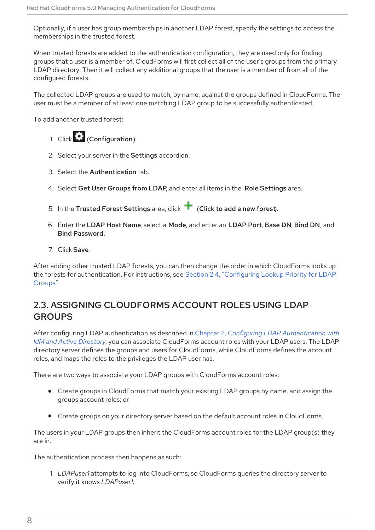<span id="page-11-1"></span>Optionally, if a user has group memberships in another LDAP forest, specify the settings to access the memberships in the trusted forest.

When trusted forests are added to the authentication configuration, they are used only for finding groups that a user is a member of. CloudForms will first collect all of the user's groups from the primary LDAP directory. Then it will collect any additional groups that the user is a member of from all of the configured forests.

The collected LDAP groups are used to match, by name, against the groups defined in CloudForms. The user must be a member of at least one matching LDAP group to be successfully authenticated.

To add another trusted forest:

- 1. Click  $\bullet$  (Configuration).
- 2. Select your server in the Settings accordion.
- 3. Select the Authentication tab.
- 4. Select Get User Groups from LDAP, and enter all items in the Role Settings area.
- 5. In the Trusted Forest Settings area, click (Click to add a new forest).
- 6. Enter the LDAP Host Name, select a Mode, and enter an LDAP Port, Base DN, Bind DN, and Bind Password.
- 7. Click Save.

After adding other trusted LDAP forests, you can then change the order in which CloudForms looks up the forests for [authentication.](#page-15-2) For instructions, see Section 2.4, "Configuring Lookup Priority for LDAP Groups".

### <span id="page-11-0"></span>2.3. ASSIGNING CLOUDFORMS ACCOUNT ROLES USING LDAP **GROUPS**

After configuring LDAP authentication as described in Chapter 2, *Configuring LDAP [Authentication](#page-11-1) with IdM and Active Directory*, you can associate CloudForms account roles with your LDAP users. The LDAP directory server defines the groups and users for CloudForms, while CloudForms defines the account roles, and maps the roles to the privileges the LDAP user has.

There are two ways to associate your LDAP groups with CloudForms account roles:

- Create groups in CloudForms that match your existing LDAP groups by name, and assign the groups account roles; or
- Create groups on your directory server based on the default account roles in CloudForms.

The users in your LDAP groups then inherit the CloudForms account roles for the LDAP group(s) they are in.

The authentication process then happens as such:

1. *LDAPuser1* attempts to log into CloudForms, so CloudForms queries the directory server to verify it knows *LDAPuser1*.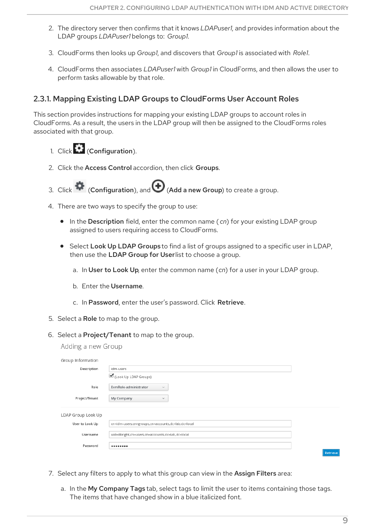- 2. The directory server then confirms that it knows *LDAPuser1*, and provides information about the LDAP groups *LDAPuser1* belongs to: *Group1*.
- 3. CloudForms then looks up *Group1*, and discovers that *Group1* is associated with *Role1*.
- 4. CloudForms then associates *LDAPuser1* with *Group1* in CloudForms, and then allows the user to perform tasks allowable by that role.

#### <span id="page-12-0"></span>2.3.1. Mapping Existing LDAP Groups to CloudForms User Account Roles

This section provides instructions for mapping your existing LDAP groups to account roles in CloudForms. As a result, the users in the LDAP group will then be assigned to the CloudForms roles associated with that group.

- 1. Click  $\bullet$  (Configuration).
- 2. Click the Access Control accordion, then click Groups.
- 3. Click  $\bullet$  (Configuration), and  $\bullet$  (Add a new Group) to create a group.
- 4. There are two ways to specify the group to use:
	- In the Description field, enter the common name (*cn*) for your existing LDAP group assigned to users requiring access to CloudForms.
	- Select Look Up LDAP Groups to find a list of groups assigned to a specific user in LDAP, then use the LDAP Group for Userlist to choose a group.
		- a. In User to Look Up, enter the common name (*cn*) for a user in your LDAP group.
		- b. Enter the Username.
		- c. In Password, enter the user's password. Click Retrieve.
- 5. Select a Role to map to the group.
- 6. Select a Project/Tenant to map to the group.

Adding a new Group

| Group Information  |                                                    |          |
|--------------------|----------------------------------------------------|----------|
| Description        | idm-users                                          |          |
|                    | (Look Up LDAP Groups)                              |          |
| Role               | EvmRole-administrator<br>$\checkmark$              |          |
| Project/Tenant     | My Company<br>$\checkmark$                         |          |
| LDAP Group Look Up |                                                    |          |
| User to Look Up    | cn=idm-users,cn=groups,cn=accounts,dc=lab,dc=local |          |
| Username           | uid=dbright,cn=users,cn=accounts,dc=lab,dc=local   |          |
| Password           |                                                    |          |
|                    |                                                    | Retrieve |

- 7. Select any filters to apply to what this group can view in the Assign Filters area:
	- a. In the My Company Tags tab, select tags to limit the user to items containing those tags. The items that have changed show in a blue italicized font.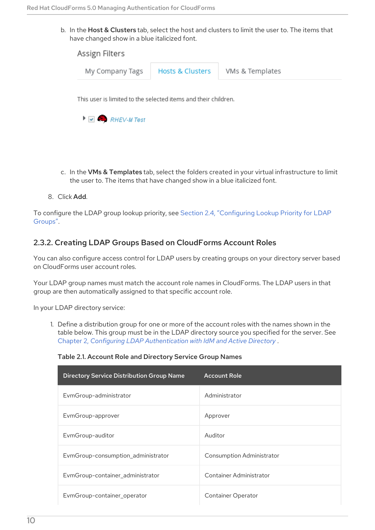<span id="page-13-1"></span>b. In the Host & Clusters tab, select the host and clusters to limit the user to. The items that have changed show in a blue italicized font.





- c. In the VMs & Templates tab, select the folders created in your virtual infrastructure to limit the user to. The items that have changed show in a blue italicized font.
- 8. Click Add.

To configure the LDAP group lookup priority, see Section 2.4, ["Configuring](#page-15-2) Lookup Priority for LDAP Groups".

#### <span id="page-13-0"></span>2.3.2. Creating LDAP Groups Based on CloudForms Account Roles

You can also configure access control for LDAP users by creating groups on your directory server based on CloudForms user account roles.

Your LDAP group names must match the account role names in CloudForms. The LDAP users in that group are then automatically assigned to that specific account role.

In your LDAP directory service:

1. Define a distribution group for one or more of the account roles with the names shown in the table below. This group must be in the LDAP directory source you specified for the server. See Chapter 2, *Configuring LDAP [Authentication](#page-11-1) with IdM and Active Directory* .

#### Table 2.1. Account Role and Directory Service Group Names

| <b>Directory Service Distribution Group Name</b> | <b>Account Role</b>              |
|--------------------------------------------------|----------------------------------|
| EvmGroup-administrator                           | Administrator                    |
| EvmGroup-approver                                | Approver                         |
| EvmGroup-auditor                                 | Auditor                          |
| EvmGroup-consumption_administrator               | <b>Consumption Administrator</b> |
| EvmGroup-container_administrator                 | Container Administrator          |
| EvmGroup-container_operator                      | Container Operator               |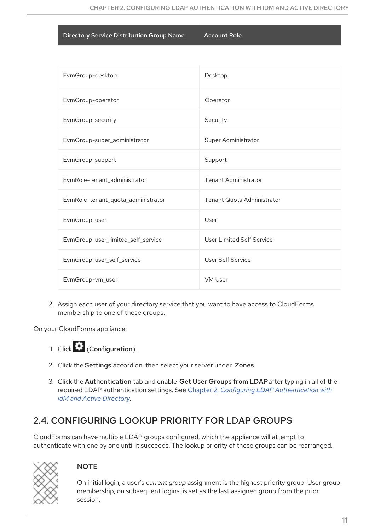Directory Service Distribution Group Name Account Role

| EvmGroup-desktop                   | Desktop                          |
|------------------------------------|----------------------------------|
| EvmGroup-operator                  | Operator                         |
| EvmGroup-security                  | Security                         |
| EvmGroup-super_administrator       | Super Administrator              |
| EvmGroup-support                   | Support                          |
| EvmRole-tenant_administrator       | <b>Tenant Administrator</b>      |
| EvmRole-tenant_quota_administrator | Tenant Quota Administrator       |
| EvmGroup-user                      | User                             |
| EvmGroup-user_limited_self_service | <b>User Limited Self Service</b> |
| EvmGroup-user_self_service         | User Self Service                |
| EvmGroup-vm_user                   | <b>VM User</b>                   |

2. Assign each user of your directory service that you want to have access to CloudForms membership to one of these groups.

On your CloudForms appliance:

- 1. Click (Configuration).
- 2. Click the Settings accordion, then select your server under Zones.
- 3. Click the Authentication tab and enable Get User Groups from LDAPafter typing in all of the required LDAP authentication settings. See Chapter 2, *Configuring LDAP [Authentication](#page-11-1) with IdM and Active Directory*.

### <span id="page-14-0"></span>2.4. CONFIGURING LOOKUP PRIORITY FOR LDAP GROUPS

CloudForms can have multiple LDAP groups configured, which the appliance will attempt to authenticate with one by one until it succeeds. The lookup priority of these groups can be rearranged.



#### **NOTE**

On initial login, a user's *current group* assignment is the highest priority group. User group membership, on subsequent logins, is set as the last assigned group from the prior session.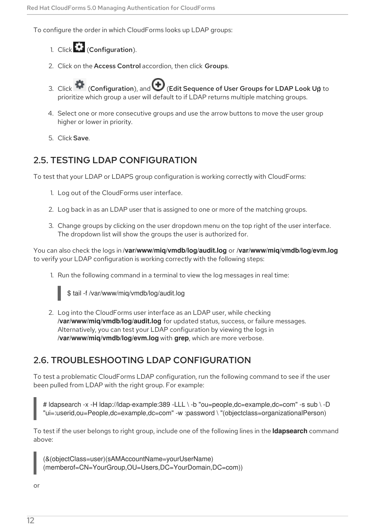<span id="page-15-2"></span>To configure the order in which CloudForms looks up LDAP groups:

- 1. Click (Configuration).
- 2. Click on the Access Control accordion, then click Groups.
- 3. Click (Configuration), and (Edit Sequence of User Groups for LDAP Look Up) to prioritize which group a user will default to if LDAP returns multiple matching groups.
- 4. Select one or more consecutive groups and use the arrow buttons to move the user group higher or lower in priority.
- 5. Click Save.

### <span id="page-15-0"></span>2.5. TESTING LDAP CONFIGURATION

To test that your LDAP or LDAPS group configuration is working correctly with CloudForms:

- 1. Log out of the CloudForms user interface.
- 2. Log back in as an LDAP user that is assigned to one or more of the matching groups.
- 3. Change groups by clicking on the user dropdown menu on the top right of the user interface. The dropdown list will show the groups the user is authorized for.

You can also check the logs in **/var/www/miq/vmdb/log/audit.log** or **/var/www/miq/vmdb/log/evm.log** to verify your LDAP configuration is working correctly with the following steps:

1. Run the following command in a terminal to view the log messages in real time:



2. Log into the CloudForms user interface as an LDAP user, while checking **/var/www/miq/vmdb/log/audit.log** for updated status, success, or failure messages. Alternatively, you can test your LDAP configuration by viewing the logs in **/var/www/miq/vmdb/log/evm.log** with **grep**, which are more verbose.

### <span id="page-15-1"></span>2.6. TROUBLESHOOTING LDAP CONFIGURATION

To test a problematic CloudForms LDAP configuration, run the following command to see if the user been pulled from LDAP with the right group. For example:

# Idapsearch -x -H Idap://Idap-example:389 -LLL \ -b "ou=people,dc=example,dc=com" -s sub \ -D "ui=:userid,ou=People,dc=example,dc=com" -w :password \ "(objectclass=organizationalPerson)

To test if the user belongs to right group, include one of the following lines in the **ldapsearch** command above:

(&(objectClass=user)(sAMAccountName=yourUserName) (memberof=CN=YourGroup,OU=Users,DC=YourDomain,DC=com))

or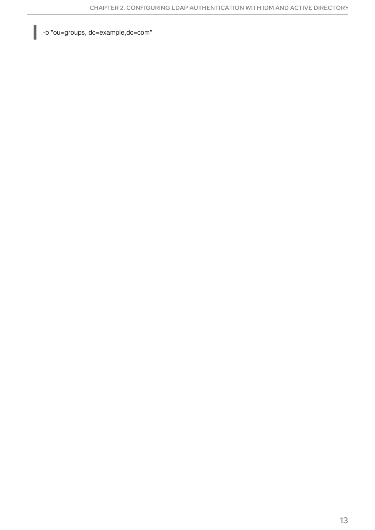-b "ou=groups, dc=example,dc=com"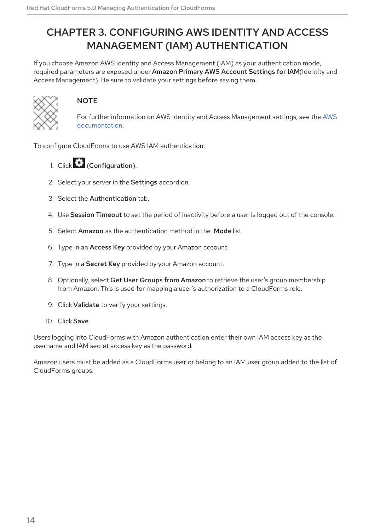## <span id="page-17-1"></span><span id="page-17-0"></span>CHAPTER 3. CONFIGURING AWS IDENTITY AND ACCESS MANAGEMENT (IAM) AUTHENTICATION

If you choose Amazon AWS Identity and Access Management (IAM) as your authentication mode, required parameters are exposed under Amazon Primary AWS Account Settings for IAM(Identity and Access Management). Be sure to validate your settings before saving them.



### **NOTE**

For further information on AWS Identity and Access Management settings, see the AWS [documentation.](https://docs.aws.amazon.com/IAM/latest/UserGuide/introduction.html)

To configure CloudForms to use AWS IAM authentication:

- 1. Click (Configuration).
- 2. Select your server in the Settings accordion.
- 3. Select the Authentication tab.
- 4. Use Session Timeout to set the period of inactivity before a user is logged out of the console.
- 5. Select Amazon as the authentication method in the Mode list.
- 6. Type in an Access Key provided by your Amazon account.
- 7. Type in a Secret Key provided by your Amazon account.
- 8. Optionally, select Get User Groups from Amazon to retrieve the user's group membership from Amazon. This is used for mapping a user's authorization to a CloudForms role.
- 9. Click Validate to verify your settings.
- 10. Click Save.

Users logging into CloudForms with Amazon authentication enter their own IAM access key as the username and IAM secret access key as the password.

Amazon users must be added as a CloudForms user or belong to an IAM user group added to the list of CloudForms groups.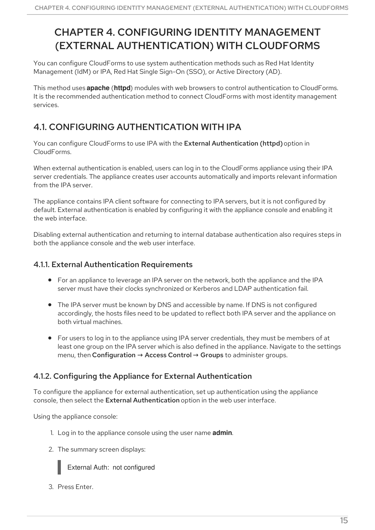## <span id="page-18-0"></span>CHAPTER 4. CONFIGURING IDENTITY MANAGEMENT (EXTERNAL AUTHENTICATION) WITH CLOUDFORMS

You can configure CloudForms to use system authentication methods such as Red Hat Identity Management (IdM) or IPA, Red Hat Single Sign-On (SSO), or Active Directory (AD).

This method uses **apache** (**httpd**) modules with web browsers to control authentication to CloudForms. It is the recommended authentication method to connect CloudForms with most identity management services.

### <span id="page-18-1"></span>4.1. CONFIGURING AUTHENTICATION WITH IPA

You can configure CloudForms to use IPA with the External Authentication (httpd) option in CloudForms.

When external authentication is enabled, users can log in to the CloudForms appliance using their IPA server credentials. The appliance creates user accounts automatically and imports relevant information from the IPA server.

The appliance contains IPA client software for connecting to IPA servers, but it is not configured by default. External authentication is enabled by configuring it with the appliance console and enabling it the web interface.

Disabling external authentication and returning to internal database authentication also requires steps in both the appliance console and the web user interface.

#### <span id="page-18-2"></span>4.1.1. External Authentication Requirements

- For an appliance to leverage an IPA server on the network, both the appliance and the IPA server must have their clocks synchronized or Kerberos and LDAP authentication fail.
- The IPA server must be known by DNS and accessible by name. If DNS is not configured accordingly, the hosts files need to be updated to reflect both IPA server and the appliance on both virtual machines.
- For users to log in to the appliance using IPA server credentials, they must be members of at least one group on the IPA server which is also defined in the appliance. Navigate to the settings menu, then Configuration → Access Control → Groups to administer groups.

#### <span id="page-18-3"></span>4.1.2. Configuring the Appliance for External Authentication

To configure the appliance for external authentication, set up authentication using the appliance console, then select the External Authentication option in the web user interface.

Using the appliance console:

- 1. Log in to the appliance console using the user name **admin**.
- 2. The summary screen displays:



3. Press Enter.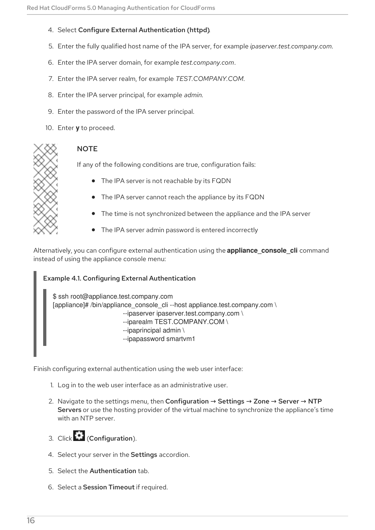- 4. Select Configure External Authentication (httpd).
- 5. Enter the fully qualified host name of the IPA server, for example *ipaserver.test.company.com*.
- 6. Enter the IPA server domain, for example *test.company.com*.
- 7. Enter the IPA server realm, for example *TEST.COMPANY.COM*.
- 8. Enter the IPA server principal, for example *admin*.
- 9. Enter the password of the IPA server principal.
- 10. Enter **y** to proceed.

#### **NOTE**

If any of the following conditions are true, configuration fails:

- The IPA server is not reachable by its FQDN
- The IPA server cannot reach the appliance by its FQDN
- The time is not synchronized between the appliance and the IPA server
- The IPA server admin password is entered incorrectly

Alternatively, you can configure external authentication using the **appliance\_console\_cli** command instead of using the appliance console menu:

#### Example 4.1. Configuring External Authentication

\$ ssh root@appliance.test.company.com [appliance]# /bin/appliance\_console\_cli --host appliance.test.company.com \ --ipaserver ipaserver.test.company.com \ --iparealm TEST.COMPANY.COM \ --ipaprincipal admin \ --ipapassword smartvm1

Finish configuring external authentication using the web user interface:

- 1. Log in to the web user interface as an administrative user.
- 2. Navigate to the settings menu, then Configuration  $\rightarrow$  Settings  $\rightarrow$  Zone  $\rightarrow$  Server  $\rightarrow$  NTP Servers or use the hosting provider of the virtual machine to synchronize the appliance's time with an NTP server.
- 3. Click **(Configuration**).
- 4. Select your server in the Settings accordion.
- 5. Select the Authentication tab.
- 6. Select a Session Timeout if required.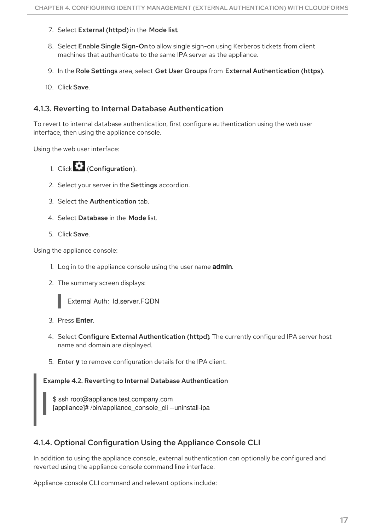- 7. Select External (httpd) in the Mode list.
- 8. Select Enable Single Sign-Onto allow single sign-on using Kerberos tickets from client machines that authenticate to the same IPA server as the appliance.
- 9. In the Role Settings area, select Get User Groups from External Authentication (https).
- 10. Click Save.

#### <span id="page-20-0"></span>4.1.3. Reverting to Internal Database Authentication

To revert to internal database authentication, first configure authentication using the web user interface, then using the appliance console.

Using the web user interface:

- 1. Click  $\bullet$  (Configuration).
- 2. Select your server in the Settings accordion.
- 3. Select the Authentication tab.
- 4. Select Database in the Mode list.
- 5. Click Save.

Using the appliance console:

- 1. Log in to the appliance console using the user name **admin**.
- 2. The summary screen displays:



- 3. Press **Enter**.
- 4. Select Configure External Authentication (httpd). The currently configured IPA server host name and domain are displayed.
- 5. Enter **y** to remove configuration details for the IPA client.

Example 4.2. Reverting to Internal Database Authentication

\$ ssh root@appliance.test.company.com [appliance]# /bin/appliance\_console\_cli --uninstall-ipa

#### <span id="page-20-1"></span>4.1.4. Optional Configuration Using the Appliance Console CLI

In addition to using the appliance console, external authentication can optionally be configured and reverted using the appliance console command line interface.

Appliance console CLI command and relevant options include: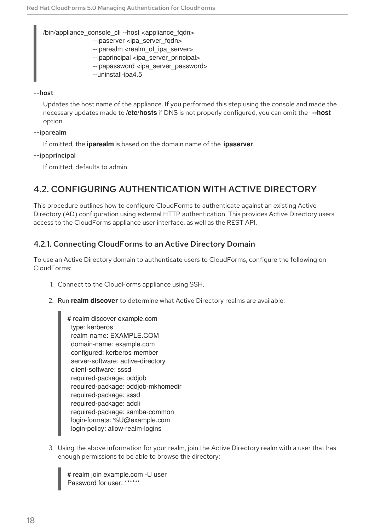/bin/appliance\_console\_cli --host <appliance\_fqdn> --ipaserver <ipa\_server\_fqdn> --iparealm <realm\_of\_ipa\_server> --ipaprincipal <ipa\_server\_principal> --ipapassword <ipa\_server\_password> --uninstall-ipa4.5

#### --host

Updates the host name of the appliance. If you performed this step using the console and made the necessary updates made to **/etc/hosts** if DNS is not properly configured, you can omit the **--host** option.

--iparealm

If omitted, the **iparealm** is based on the domain name of the **ipaserver**.

--ipaprincipal

If omitted, defaults to admin.

### <span id="page-21-0"></span>4.2. CONFIGURING AUTHENTICATION WITH ACTIVE DIRECTORY

This procedure outlines how to configure CloudForms to authenticate against an existing Active Directory (AD) configuration using external HTTP authentication. This provides Active Directory users access to the CloudForms appliance user interface, as well as the REST API.

#### <span id="page-21-1"></span>4.2.1. Connecting CloudForms to an Active Directory Domain

To use an Active Directory domain to authenticate users to CloudForms, configure the following on CloudForms:

- 1. Connect to the CloudForms appliance using SSH.
- 2. Run **realm discover** to determine what Active Directory realms are available:
	- # realm discover example.com type: kerberos realm-name: EXAMPLE.COM domain-name: example.com configured: kerberos-member server-software: active-directory client-software: sssd required-package: oddjob required-package: oddjob-mkhomedir required-package: sssd required-package: adcli required-package: samba-common login-formats: %U@example.com login-policy: allow-realm-logins
- 3. Using the above information for your realm, join the Active Directory realm with a user that has enough permissions to be able to browse the directory:

# realm join example.com -U user Password for user: \*\*\*\*\*\*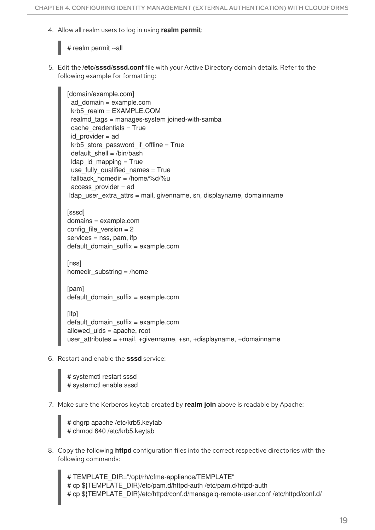<span id="page-22-0"></span>4. Allow all realm users to log in using **realm permit**:

# realm permit --all

5. Edit the **/etc/sssd/sssd.conf** file with your Active Directory domain details. Refer to the following example for formatting:

```
[domain/example.com]
 ad_domain = example.com
 krb5_realm = EXAMPLE.COM
 realmd_tags = manages-system joined-with-samba
 cache_credentials = True
 id_provider = ad
 krb5_store_password_if_offline = True
 default shell = /bin/bashIdap id mapping = True
 use fully qualified names = Truefallback_homedir = /home/%d/%u
 access_provider = ad
ldap_user_extra_attrs = mail, givenname, sn, displayname, domainname
```
[sssd] domains = example.com config file version  $= 2$  $s$ ervices = nss, pam, ifp default\_domain\_suffix = example.com

[nss] homedir substring  $=$  /home

[pam] default domain suffix = example.com

[ifp] default\_domain\_suffix = example.com allowed  $uids = *apache*, *root*$ user\_attributes = +mail, +givenname, +sn, +displayname, +domainname

6. Restart and enable the **sssd** service:

# systemctl restart sssd # systemctl enable sssd

7. Make sure the Kerberos keytab created by **realm join** above is readable by Apache:

# chgrp apache /etc/krb5.keytab # chmod 640 /etc/krb5.keytab

8. Copy the following **httpd** configuration files into the correct respective directories with the following commands:

# TEMPLATE\_DIR="/opt/rh/cfme-appliance/TEMPLATE" # cp \${TEMPLATE\_DIR}/etc/pam.d/httpd-auth /etc/pam.d/httpd-auth # cp \${TEMPLATE\_DIR}/etc/httpd/conf.d/manageiq-remote-user.conf /etc/httpd/conf.d/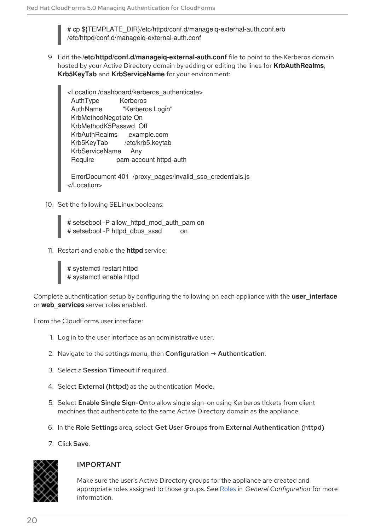# cp \${TEMPLATE\_DIR}/etc/httpd/conf.d/manageiq-external-auth.conf.erb /etc/httpd/conf.d/manageiq-external-auth.conf

9. Edit the **/etc/httpd/conf.d/manageiq-external-auth.conf** file to point to the Kerberos domain hosted by your Active Directory domain by adding or editing the lines for **KrbAuthRealms**, **Krb5KeyTab** and **KrbServiceName** for your environment:

<Location /dashboard/kerberos\_authenticate> AuthType Kerberos AuthName "Kerberos Login" KrbMethodNegotiate On KrbMethodK5Passwd Off KrbAuthRealms example.com Krb5KeyTab /etc/krb5.keytab KrbServiceName Any Require pam-account httpd-auth ErrorDocument 401 /proxy\_pages/invalid\_sso\_credentials.js

10. Set the following SELinux booleans:

</Location>

# setsebool -P allow\_httpd\_mod\_auth\_pam on # setsebool -P httpd\_dbus\_sssd on

11. Restart and enable the **httpd** service:

# systemctl restart httpd # systemctl enable httpd

Complete authentication setup by configuring the following on each appliance with the **user\_interface** or **web\_services** server roles enabled.

From the CloudForms user interface:

- 1. Log in to the user interface as an administrative user.
- 2. Navigate to the settings menu, then Configuration  $\rightarrow$  Authentication.
- 3. Select a Session Timeout if required.
- 4. Select External (httpd) as the authentication Mode.
- 5. Select Enable Single Sign-Onto allow single sign-on using Kerberos tickets from client machines that authenticate to the same Active Directory domain as the appliance.
- 6. In the Role Settings area, select Get User Groups from External Authentication (httpd).
- 7. Click Save.



#### IMPORTANT

Make sure the user's Active Directory groups for the appliance are created and appropriate roles assigned to those groups. See [Roles](https://access.redhat.com/documentation/en-us/red_hat_cloudforms/4.7/html-single/general_configuration/#roles) in *General Configuration* for more information.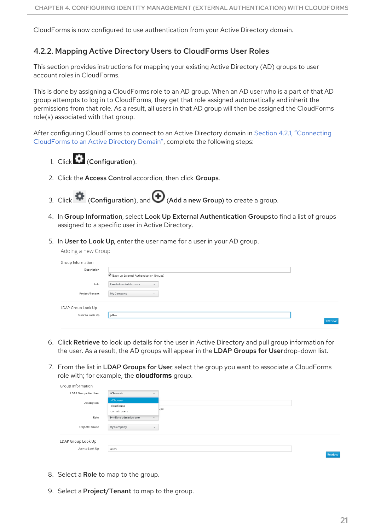<span id="page-24-1"></span>CloudForms is now configured to use authentication from your Active Directory domain.

#### <span id="page-24-0"></span>4.2.2. Mapping Active Directory Users to CloudForms User Roles

This section provides instructions for mapping your existing Active Directory (AD) groups to user account roles in CloudForms.

This is done by assigning a CloudForms role to an AD group. When an AD user who is a part of that AD group attempts to log in to CloudForms, they get that role assigned automatically and inherit the permissions from that role. As a result, all users in that AD group will then be assigned the CloudForms role(s) associated with that group.

After configuring CloudForms to connect to an Active Directory domain in Section 4.2.1, ["Connecting](#page-22-0) CloudForms to an Active Directory Domain", complete the following steps:

- 1. Click (Configuration).
- 2. Click the Access Control accordion, then click Groups.
	-
- 3. Click  $\bullet$  (Configuration), and  $\bullet$  (Add a new Group) to create a group.
- 4. In Group Information, select Look Up External Authentication Groupsto find a list of groups assigned to a specific user in Active Directory.
- 5. In User to Look Up, enter the user name for a user in your AD group.

| Adding a new Group                    |                                         |          |
|---------------------------------------|-----------------------------------------|----------|
| Group Information                     |                                         |          |
| Description                           |                                         |          |
|                                       | Look up External Authentication Groups) |          |
| Role                                  | EvmRole-administrator<br>$\checkmark$   |          |
| Project/Tenant                        | My Company<br>$\checkmark$              |          |
|                                       |                                         |          |
| LDAP Group Look Up<br>User to Look Up | jallen                                  |          |
|                                       |                                         | Retrieve |

- 6. Click Retrieve to look up details for the user in Active Directory and pull group information for the user. As a result, the AD groups will appear in the LDAP Groups for Userdrop-down list.
- 7. From the list in LDAP Groups for User, select the group you want to associate a CloudForms role with; for example, the **cloudforms** group.

| Group Information           |                                                                |      |  |
|-----------------------------|----------------------------------------------------------------|------|--|
| <b>LDAP Groups for User</b> | <choose><br/><math display="inline">\checkmark</math></choose> |      |  |
| Description                 | <choose></choose>                                              |      |  |
|                             | cloudforms                                                     | ups) |  |
|                             | domain users                                                   |      |  |
| Role                        | EymRole-administrator<br>$\checkmark$                          |      |  |
| Project/Tenant              | My Company<br>$\checkmark$                                     |      |  |
| LDAP Group Look Up          |                                                                |      |  |
| User to Look Up             | jallen                                                         |      |  |

- 8. Select a Role to map to the group.
- 9. Select a Project/Tenant to map to the group.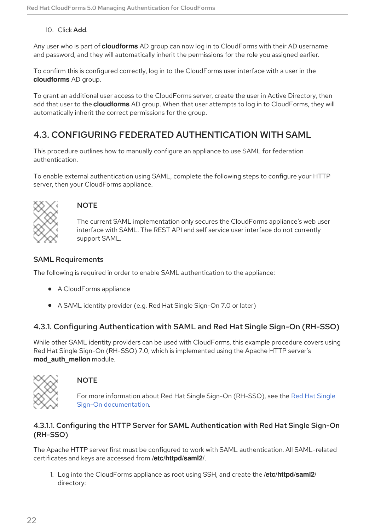10. Click Add.

Any user who is part of **cloudforms** AD group can now log in to CloudForms with their AD username and password, and they will automatically inherit the permissions for the role you assigned earlier.

To confirm this is configured correctly, log in to the CloudForms user interface with a user in the **cloudforms** AD group.

To grant an additional user access to the CloudForms server, create the user in Active Directory, then add that user to the **cloudforms** AD group. When that user attempts to log in to CloudForms, they will automatically inherit the correct permissions for the group.

### <span id="page-25-0"></span>4.3. CONFIGURING FEDERATED AUTHENTICATION WITH SAML

This procedure outlines how to manually configure an appliance to use SAML for federation authentication.

To enable external authentication using SAML, complete the following steps to configure your HTTP server, then your CloudForms appliance.



#### **NOTE**

The current SAML implementation only secures the CloudForms appliance's web user interface with SAML. The REST API and self service user interface do not currently support SAML.

#### SAML Requirements

The following is required in order to enable SAML authentication to the appliance:

- A CloudForms appliance
- A SAML identity provider (e.g. Red Hat Single Sign-On 7.0 or later)

#### <span id="page-25-1"></span>4.3.1. Configuring Authentication with SAML and Red Hat Single Sign-On (RH-SSO)

While other SAML identity providers can be used with CloudForms, this example procedure covers using Red Hat Single Sign-On (RH-SSO) 7.0, which is implemented using the Apache HTTP server's **mod\_auth\_mellon** module.



#### **NOTE**

For more information about Red Hat Single Sign-On (RH-SSO), see the Red Hat Single Sign-On [documentation.](https://access.redhat.com/products/red-hat-single-sign-on)

#### <span id="page-25-2"></span>4.3.1.1. Configuring the HTTP Server for SAML Authentication with Red Hat Single Sign-On (RH-SSO)

The Apache HTTP server first must be configured to work with SAML authentication. All SAML-related certificates and keys are accessed from **/etc/httpd/saml2/**.

1. Log into the CloudForms appliance as root using SSH, and create the **/etc/httpd/saml2/** directory: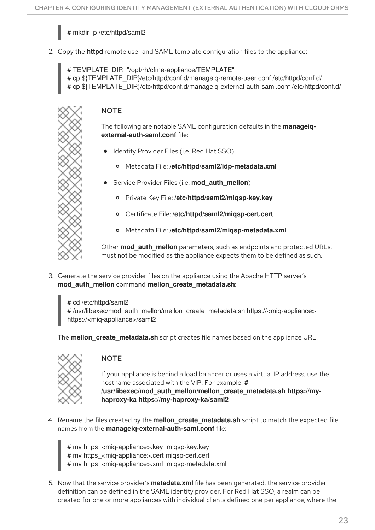# mkdir -p /etc/httpd/saml2

2. Copy the **httpd** remote user and SAML template configuration files to the appliance:

# TEMPLATE\_DIR="/opt/rh/cfme-appliance/TEMPLATE" # cp \${TEMPLATE\_DIR}/etc/httpd/conf.d/manageiq-remote-user.conf /etc/httpd/conf.d/ # cp \${TEMPLATE\_DIR}/etc/httpd/conf.d/manageiq-external-auth-saml.conf /etc/httpd/conf.d/

#### **NOTE**

The following are notable SAML configuration defaults in the **manageiqexternal-auth-saml.conf** file:

- Identity Provider Files (i.e. Red Hat SSO)
	- Metadata File: **/etc/httpd/saml2/idp-metadata.xml**
- **Service Provider Files (i.e. mod auth mellon)** 
	- Private Key File: **/etc/httpd/saml2/miqsp-key.key**
	- Certificate File: **/etc/httpd/saml2/miqsp-cert.cert**
	- Metadata File: **/etc/httpd/saml2/miqsp-metadata.xml**

Other **mod auth mellon** parameters, such as endpoints and protected URLs, must not be modified as the appliance expects them to be defined as such.

3. Generate the service provider files on the appliance using the Apache HTTP server's **mod\_auth\_mellon** command **mellon\_create\_metadata.sh**:

# cd /etc/httpd/saml2 # /usr/libexec/mod\_auth\_mellon/mellon\_create\_metadata.sh https://<miq-appliance> https://<miq-appliance>/saml2

The **mellon\_create\_metadata.sh** script creates file names based on the appliance URL.



#### **NOTE**

If your appliance is behind a load balancer or uses a virtual IP address, use the hostname associated with the VIP. For example: **# /usr/libexec/mod\_auth\_mellon/mellon\_create\_metadata.sh https://myhaproxy-ka https://my-haproxy-ka/saml2**

4. Rename the files created by the **mellon create metadata.sh** script to match the expected file names from the **manageiq-external-auth-saml.conf** file:

# mv https\_<miq-appliance>.key miqsp-key.key # mv https\_<miq-appliance>.cert miqsp-cert.cert # mv https\_<miq-appliance>.xml miqsp-metadata.xml

5. Now that the service provider's **metadata.xml** file has been generated, the service provider definition can be defined in the SAML identity provider. For Red Hat SSO, a realm can be created for one or more appliances with individual clients defined one per appliance, where the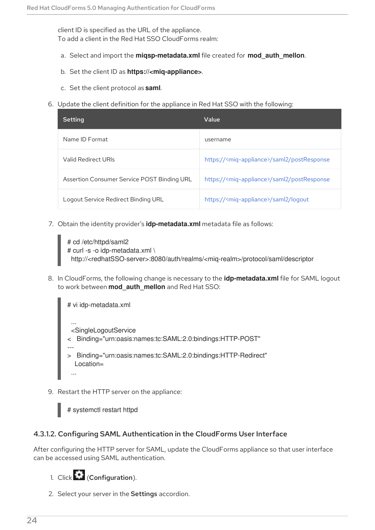client ID is specified as the URL of the appliance. To add a client in the Red Hat SSO CloudForms realm:

- a. Select and import the **miqsp-metadata.xml** file created for **mod\_auth\_mellon**.
- b. Set the client ID as **https://<miq-appliance>**.
- c. Set the client protocol as **saml**.
- 6. Update the client definition for the appliance in Red Hat SSO with the following:

| Setting                                     | Value                                                       |
|---------------------------------------------|-------------------------------------------------------------|
| Name ID Format                              | username                                                    |
| Valid Redirect URIs                         | https:// <miq-appliance>/saml2/postResponse</miq-appliance> |
| Assertion Consumer Service POST Binding URL | https:// <miq-appliance>/saml2/postResponse</miq-appliance> |
| Logout Service Redirect Binding URL         | https:// <miq-appliance>/saml2/loqout</miq-appliance>       |

- 7. Obtain the identity provider's **idp-metadata.xml** metadata file as follows:
	- # cd /etc/httpd/saml2 # curl -s -o idp-metadata.xml \ http://<redhatSSO-server>:8080/auth/realms/<miq-realm>/protocol/saml/descriptor
- 8. In CloudForms, the following change is necessary to the **idp-metadata.xml** file for SAML logout to work between **mod\_auth\_mellon** and Red Hat SSO:

```
# vi idp-metadata.xml
 ...
 <SingleLogoutService
< Binding="urn:oasis:names:tc:SAML:2.0:bindings:HTTP-POST"
---
> Binding="urn:oasis:names:tc:SAML:2.0:bindings:HTTP-Redirect"
  Location=
 ...
```
9. Restart the HTTP server on the appliance:

```
# systemctl restart httpd
```
#### <span id="page-27-0"></span>4.3.1.2. Configuring SAML Authentication in the CloudForms User Interface

After configuring the HTTP server for SAML, update the CloudForms appliance so that user interface can be accessed using SAML authentication.

- 1. Click  $\bullet$  (Configuration).
- 2. Select your server in the Settings accordion.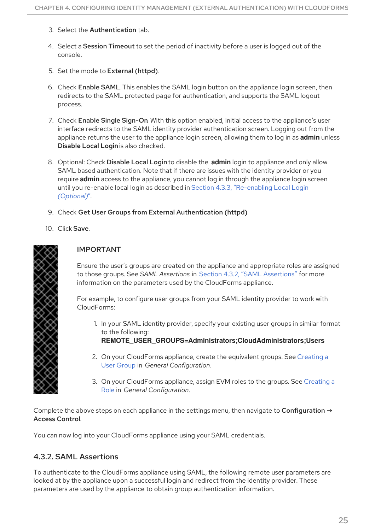- 3. Select the Authentication tab.
- 4. Select a Session Timeout to set the period of inactivity before a user is logged out of the console.
- 5. Set the mode to External (httpd).
- 6. Check Enable SAML. This enables the SAML login button on the appliance login screen, then redirects to the SAML protected page for authentication, and supports the SAML logout process.
- 7. Check Enable Single Sign-On. With this option enabled, initial access to the appliance's user interface redirects to the SAML identity provider authentication screen. Logging out from the appliance returns the user to the appliance login screen, allowing them to log in as **admin** unless Disable Local Loginis also checked.
- 8. Optional: Check Disable Local Loginto disable the **admin** login to appliance and only allow SAML based authentication. Note that if there are issues with the identity provider or you require **admin** access to the appliance, you cannot log in through the appliance login screen until you re-enable local login as described in Section 4.3.3, ["Re-enabling](#page-30-2) Local Login *(Optional)*".
- 9. Check Get User Groups from External Authentication (httpd).
- 10. Click Save.



#### IMPORTANT

Ensure the user's groups are created on the appliance and appropriate roles are assigned to those groups. See *SAML Assertions* in Section 4.3.2, "SAML [Assertions"](#page-29-1) for more information on the parameters used by the CloudForms appliance.

For example, to configure user groups from your SAML identity provider to work with CloudForms:

- 1. In your SAML identity provider, specify your existing user groups in similar format to the following: **REMOTE\_USER\_GROUPS=Administrators;CloudAdministrators;Users**
- 
- 2. On your CloudForms appliance, create the equivalent groups. See Creating a User Group in *General [Configuration](https://access.redhat.com/documentation/en-us/red_hat_cloudforms/4.7/html-single/general_configuration/#creating-a-user-group)*.
- 3. On your CloudForms appliance, assign EVM roles to the groups. See Creating a Role in *General [Configuration](https://access.redhat.com/documentation/en-us/red_hat_cloudforms/4.7/html-single/general_configuration/#creating-a-role)*.

Complete the above steps on each appliance in the settings menu, then navigate to Configuration  $\rightarrow$ Access Control.

You can now log into your CloudForms appliance using your SAML credentials.

#### <span id="page-28-0"></span>4.3.2. SAML Assertions

To authenticate to the CloudForms appliance using SAML, the following remote user parameters are looked at by the appliance upon a successful login and redirect from the identity provider. These parameters are used by the appliance to obtain group authentication information.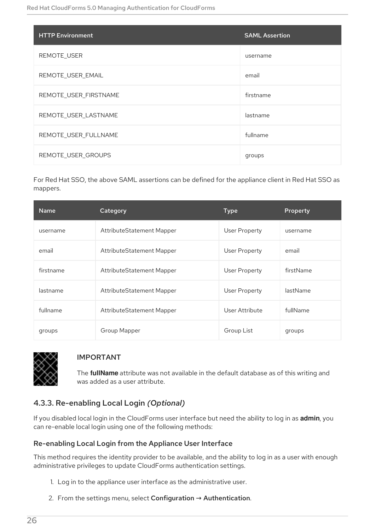<span id="page-29-1"></span>

| <b>HTTP Environment</b> | <b>SAML Assertion</b> |
|-------------------------|-----------------------|
| REMOTE_USER             | username              |
| REMOTE_USER_EMAIL       | email                 |
| REMOTE_USER_FIRSTNAME   | firstname             |
| REMOTE_USER_LASTNAME    | lastname              |
| REMOTE_USER_FULLNAME    | fullname              |
| REMOTE_USER_GROUPS      | groups                |

For Red Hat SSO, the above SAML assertions can be defined for the appliance client in Red Hat SSO as mappers.

| <b>Name</b> | Category                         | <b>Type</b>          | Property  |
|-------------|----------------------------------|----------------------|-----------|
| username    | <b>AttributeStatement Mapper</b> | <b>User Property</b> | username  |
| email       | <b>AttributeStatement Mapper</b> | <b>User Property</b> | email     |
| firstname   | AttributeStatement Mapper        | User Property        | firstName |
| lastname    | <b>AttributeStatement Mapper</b> | <b>User Property</b> | lastName  |
| fullname    | <b>AttributeStatement Mapper</b> | User Attribute       | fullName  |
| groups      | Group Mapper                     | Group List           | groups    |



#### IMPORTANT

The **fullName** attribute was not available in the default database as of this writing and was added as a user attribute.

#### <span id="page-29-0"></span>4.3.3. Re-enabling Local Login *(Optional)*

If you disabled local login in the CloudForms user interface but need the ability to log in as **admin**, you can re-enable local login using one of the following methods:

#### Re-enabling Local Login from the Appliance User Interface

This method requires the identity provider to be available, and the ability to log in as a user with enough administrative privileges to update CloudForms authentication settings.

- 1. Log in to the appliance user interface as the administrative user.
- 2. From the settings menu, select Configuration  $\rightarrow$  Authentication.